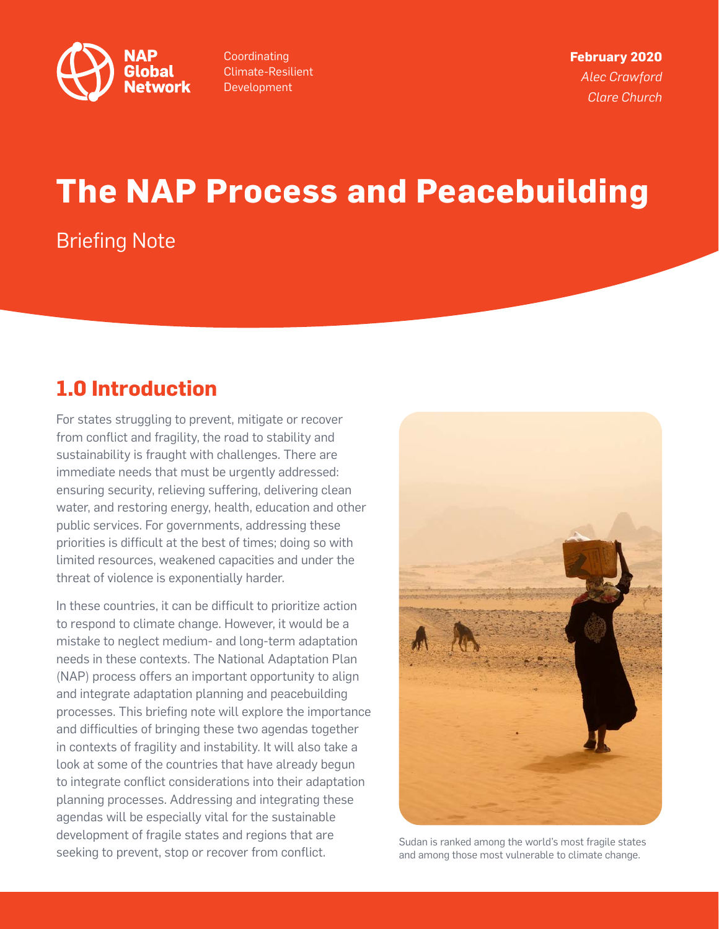

Coordinating Climate-Resilient Development

**February 2020** *Alec Crawford Clare Church*

# **The NAP Process and Peacebuilding**

### Briefing Note

### **1.0 Introduction**

For states struggling to prevent, mitigate or recover from conflict and fragility, the road to stability and sustainability is fraught with challenges. There are immediate needs that must be urgently addressed: ensuring security, relieving suffering, delivering clean water, and restoring energy, health, education and other public services. For governments, addressing these priorities is difficult at the best of times; doing so with limited resources, weakened capacities and under the threat of violence is exponentially harder.

In these countries, it can be difficult to prioritize action to respond to climate change. However, it would be a mistake to neglect medium- and long-term adaptation needs in these contexts. The National Adaptation Plan (NAP) process offers an important opportunity to align and integrate adaptation planning and peacebuilding processes. This briefing note will explore the importance and difficulties of bringing these two agendas together in contexts of fragility and instability. It will also take a look at some of the countries that have already begun to integrate conflict considerations into their adaptation planning processes. Addressing and integrating these agendas will be especially vital for the sustainable development of fragile states and regions that are seeking to prevent, stop or recover from conflict.<br>Sudan is ranked among the world's most fragile states<br>and among those most vulnerable to climate change.



and among those most vulnerable to climate change.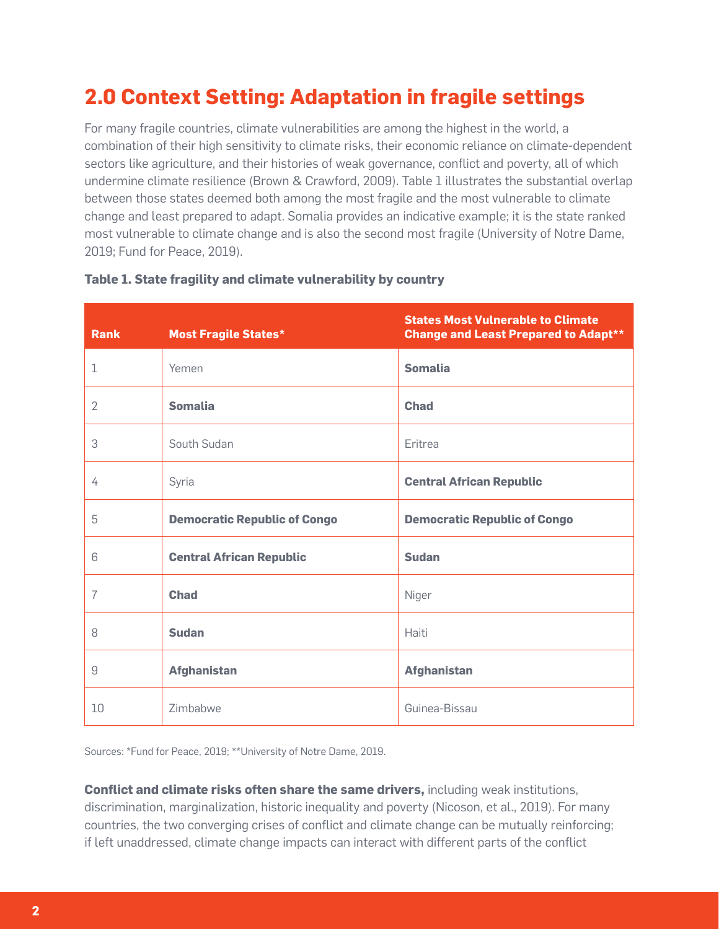# **2.0 Context Setting: Adaptation in fragile settings**

For many fragile countries, climate vulnerabilities are among the highest in the world, a combination of their high sensitivity to climate risks, their economic reliance on climate-dependent sectors like agriculture, and their histories of weak governance, conflict and poverty, all of which undermine climate resilience (Brown & Crawford, 2009). Table 1 illustrates the substantial overlap between those states deemed both among the most fragile and the most vulnerable to climate change and least prepared to adapt. Somalia provides an indicative example; it is the state ranked most vulnerable to climate change and is also the second most fragile (University of Notre Dame, 2019; Fund for Peace, 2019).

| <b>Rank</b>    | <b>Most Fragile States*</b>         | <b>States Most Vulnerable to Climate</b><br><b>Change and Least Prepared to Adapt**</b> |  |
|----------------|-------------------------------------|-----------------------------------------------------------------------------------------|--|
| 1              | Yemen                               | <b>Somalia</b>                                                                          |  |
| $\overline{2}$ | <b>Somalia</b>                      | <b>Chad</b>                                                                             |  |
| 3              | South Sudan                         | Eritrea                                                                                 |  |
| 4              | Syria                               | <b>Central African Republic</b>                                                         |  |
| 5              | <b>Democratic Republic of Congo</b> | <b>Democratic Republic of Congo</b>                                                     |  |
| 6              | <b>Central African Republic</b>     | <b>Sudan</b>                                                                            |  |
| $\overline{7}$ | <b>Chad</b>                         | Niger                                                                                   |  |
| 8              | <b>Sudan</b>                        | Haiti                                                                                   |  |
| 9              | <b>Afghanistan</b>                  | <b>Afghanistan</b>                                                                      |  |
| 10             | Zimbabwe                            | Guinea-Bissau                                                                           |  |

#### **Table 1. State fragility and climate vulnerability by country**

Sources: \*Fund for Peace, 2019; \*\*University of Notre Dame, 2019.

**Conflict and climate risks often share the same drivers,** including weak institutions, discrimination, marginalization, historic inequality and poverty (Nicoson, et al., 2019). For many countries, the two converging crises of conflict and climate change can be mutually reinforcing; if left unaddressed, climate change impacts can interact with different parts of the conflict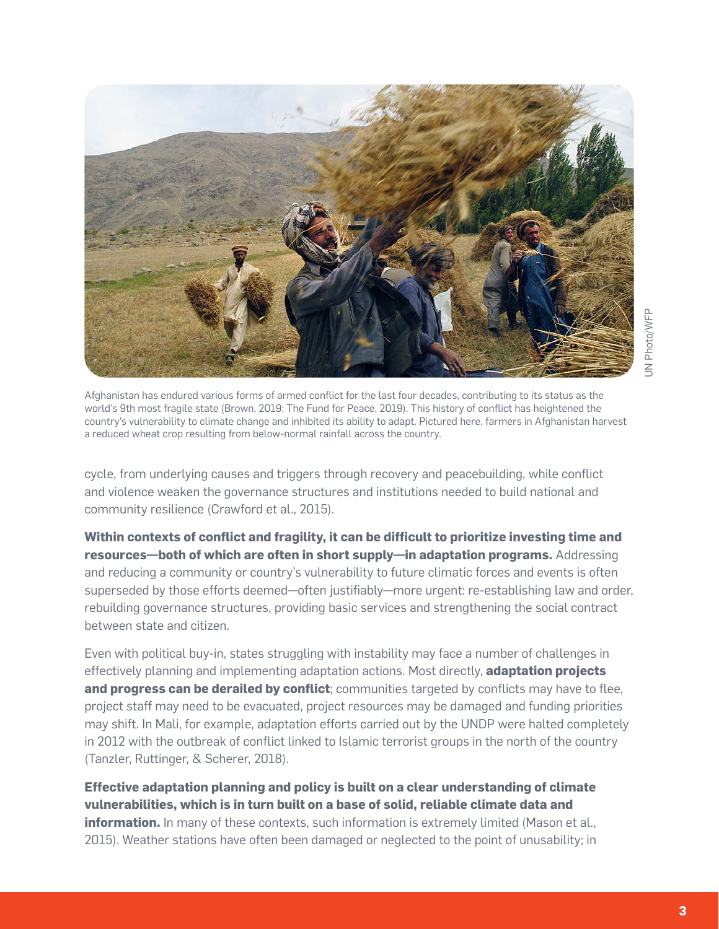

Afghanistan has endured various forms of armed conflict for the last four decades, contributing to its status as the world's 9th most fragile state (Brown, 2019; The Fund for Peace, 2019). This history of conflict has heightened the country's vulnerability to climate change and inhibited its ability to adapt. Pictured here, farmers in Afghanistan harvest a reduced wheat crop resulting from below-normal rainfall across the country.

cycle, from underlying causes and triggers through recovery and peacebuilding, while conflict and violence weaken the governance structures and institutions needed to build national and community resilience (Crawford et al., 2015).

**Within contexts of conflict and fragility, it can be difficult to prioritize investing time and resources—both of which are often in short supply—in adaptation programs.** Addressing and reducing a community or country's vulnerability to future climatic forces and events is often superseded by those efforts deemed—often justifiably—more urgent: re-establishing law and order, rebuilding governance structures, providing basic services and strengthening the social contract between state and citizen.

Even with political buy-in, states struggling with instability may face a number of challenges in effectively planning and implementing adaptation actions. Most directly, **adaptation projects**  and progress can be derailed by conflict; communities targeted by conflicts may have to flee, project staff may need to be evacuated, project resources may be damaged and funding priorities may shift. In Mali, for example, adaptation efforts carried out by the UNDP were halted completely in 2012 with the outbreak of conflict linked to Islamic terrorist groups in the north of the country (Tanzler, Ruttinger, & Scherer, 2018).

**Effective adaptation planning and policy is built on a clear understanding of climate vulnerabilities, which is in turn built on a base of solid, reliable climate data and information.** In many of these contexts, such information is extremely limited (Mason et al., 2015). Weather stations have often been damaged or neglected to the point of unusability; in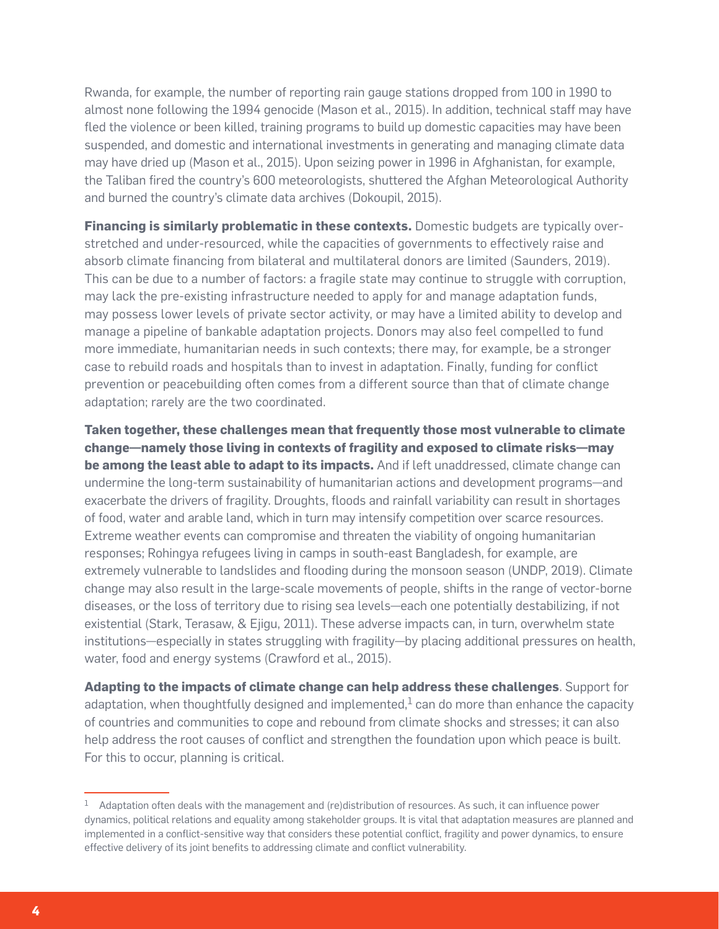Rwanda, for example, the number of reporting rain gauge stations dropped from 100 in 1990 to almost none following the 1994 genocide (Mason et al., 2015). In addition, technical staff may have fled the violence or been killed, training programs to build up domestic capacities may have been suspended, and domestic and international investments in generating and managing climate data may have dried up (Mason et al., 2015). Upon seizing power in 1996 in Afghanistan, for example, the Taliban fired the country's 600 meteorologists, shuttered the Afghan Meteorological Authority and burned the country's climate data archives (Dokoupil, 2015).

**Financing is similarly problematic in these contexts.** Domestic budgets are typically overstretched and under-resourced, while the capacities of governments to effectively raise and absorb climate financing from bilateral and multilateral donors are limited (Saunders, 2019). This can be due to a number of factors: a fragile state may continue to struggle with corruption, may lack the pre-existing infrastructure needed to apply for and manage adaptation funds, may possess lower levels of private sector activity, or may have a limited ability to develop and manage a pipeline of bankable adaptation projects. Donors may also feel compelled to fund more immediate, humanitarian needs in such contexts; there may, for example, be a stronger case to rebuild roads and hospitals than to invest in adaptation. Finally, funding for conflict prevention or peacebuilding often comes from a different source than that of climate change adaptation; rarely are the two coordinated.

**Taken together, these challenges mean that frequently those most vulnerable to climate change—namely those living in contexts of fragility and exposed to climate risks—may be among the least able to adapt to its impacts.** And if left unaddressed, climate change can undermine the long-term sustainability of humanitarian actions and development programs—and exacerbate the drivers of fragility. Droughts, floods and rainfall variability can result in shortages of food, water and arable land, which in turn may intensify competition over scarce resources. Extreme weather events can compromise and threaten the viability of ongoing humanitarian responses; Rohingya refugees living in camps in south-east Bangladesh, for example, are extremely vulnerable to landslides and flooding during the monsoon season (UNDP, 2019). Climate change may also result in the large-scale movements of people, shifts in the range of vector-borne diseases, or the loss of territory due to rising sea levels—each one potentially destabilizing, if not existential (Stark, Terasaw, & Ejigu, 2011). These adverse impacts can, in turn, overwhelm state institutions—especially in states struggling with fragility—by placing additional pressures on health, water, food and energy systems (Crawford et al., 2015).

**Adapting to the impacts of climate change can help address these challenges**. Support for adaptation, when thoughtfully designed and implemented, $1$  can do more than enhance the capacity of countries and communities to cope and rebound from climate shocks and stresses; it can also help address the root causes of conflict and strengthen the foundation upon which peace is built. For this to occur, planning is critical.

Adaptation often deals with the management and (re)distribution of resources. As such, it can influence power dynamics, political relations and equality among stakeholder groups. It is vital that adaptation measures are planned and implemented in a conflict-sensitive way that considers these potential conflict, fragility and power dynamics, to ensure effective delivery of its joint benefits to addressing climate and conflict vulnerability.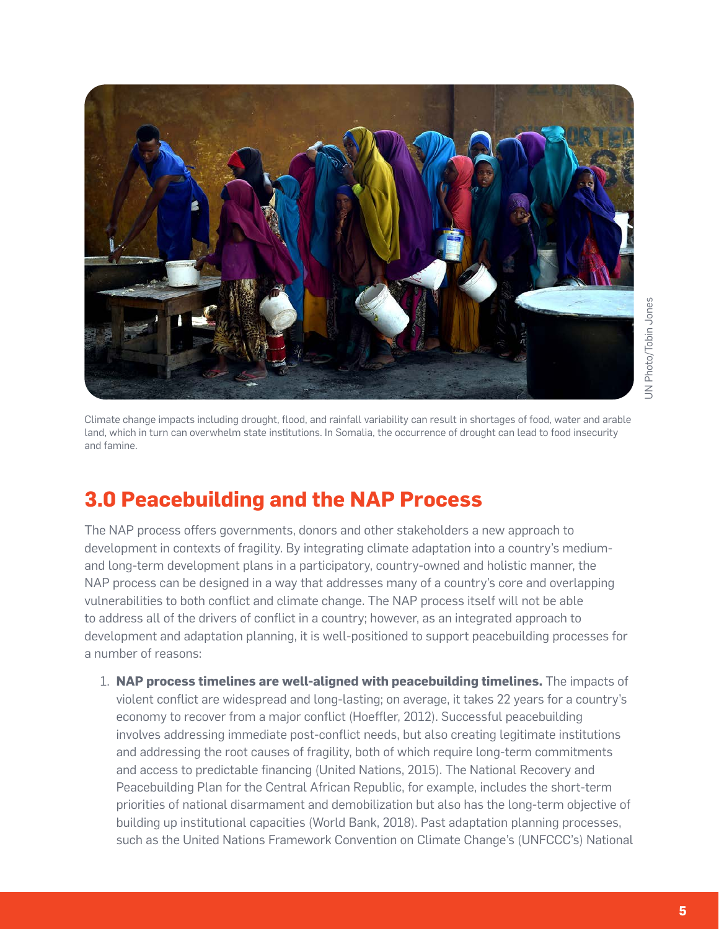

Climate change impacts including drought, flood, and rainfall variability can result in shortages of food, water and arable land, which in turn can overwhelm state institutions. In Somalia, the occurrence of drought can lead to food insecurity and famine.

#### **3.0 Peacebuilding and the NAP Process**

The NAP process offers governments, donors and other stakeholders a new approach to development in contexts of fragility. By integrating climate adaptation into a country's mediumand long-term development plans in a participatory, country-owned and holistic manner, the NAP process can be designed in a way that addresses many of a country's core and overlapping vulnerabilities to both conflict and climate change. The NAP process itself will not be able to address all of the drivers of conflict in a country; however, as an integrated approach to development and adaptation planning, it is well-positioned to support peacebuilding processes for a number of reasons:

1. **NAP process timelines are well-aligned with peacebuilding timelines.** The impacts of violent conflict are widespread and long-lasting; on average, it takes 22 years for a country's economy to recover from a major conflict (Hoeffler, 2012). Successful peacebuilding involves addressing immediate post-conflict needs, but also creating legitimate institutions and addressing the root causes of fragility, both of which require long-term commitments and access to predictable financing (United Nations, 2015). The National Recovery and Peacebuilding Plan for the Central African Republic, for example, includes the short-term priorities of national disarmament and demobilization but also has the long-term objective of building up institutional capacities (World Bank, 2018). Past adaptation planning processes, such as the United Nations Framework Convention on Climate Change's (UNFCCC's) National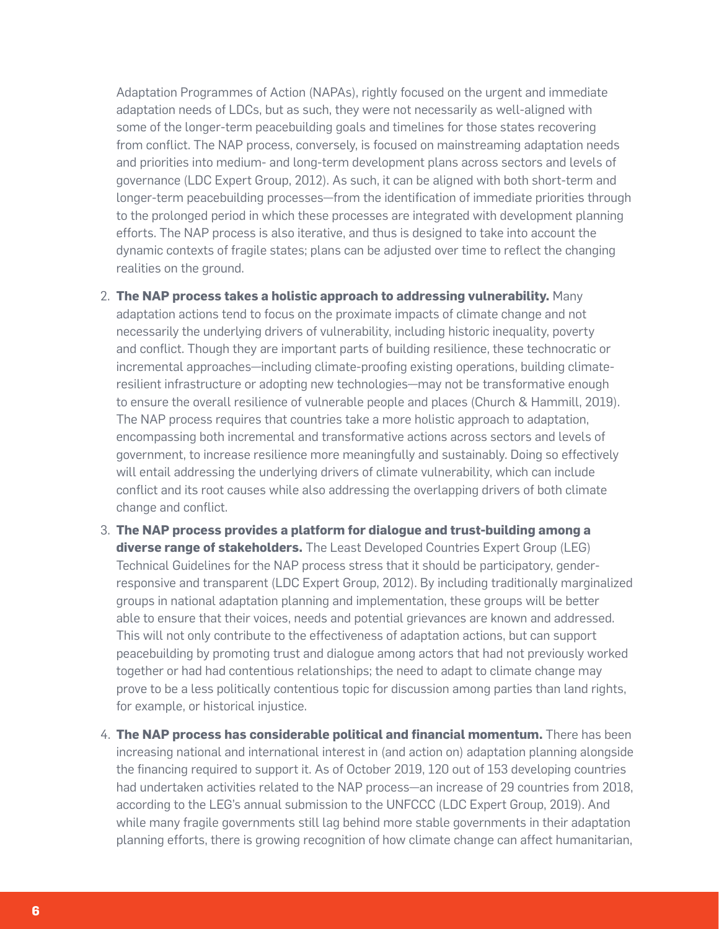Adaptation Programmes of Action (NAPAs), rightly focused on the urgent and immediate adaptation needs of LDCs, but as such, they were not necessarily as well-aligned with some of the longer-term peacebuilding goals and timelines for those states recovering from conflict. The NAP process, conversely, is focused on mainstreaming adaptation needs and priorities into medium- and long-term development plans across sectors and levels of governance (LDC Expert Group, 2012). As such, it can be aligned with both short-term and longer-term peacebuilding processes—from the identification of immediate priorities through to the prolonged period in which these processes are integrated with development planning efforts. The NAP process is also iterative, and thus is designed to take into account the dynamic contexts of fragile states; plans can be adjusted over time to reflect the changing realities on the ground.

- 2. **The NAP process takes a holistic approach to addressing vulnerability.** Many adaptation actions tend to focus on the proximate impacts of climate change and not necessarily the underlying drivers of vulnerability, including historic inequality, poverty and conflict. Though they are important parts of building resilience, these technocratic or incremental approaches—including climate-proofing existing operations, building climateresilient infrastructure or adopting new technologies—may not be transformative enough to ensure the overall resilience of vulnerable people and places (Church & Hammill, 2019). The NAP process requires that countries take a more holistic approach to adaptation, encompassing both incremental and transformative actions across sectors and levels of government, to increase resilience more meaningfully and sustainably. Doing so effectively will entail addressing the underlying drivers of climate vulnerability, which can include conflict and its root causes while also addressing the overlapping drivers of both climate change and conflict.
- 3. **The NAP process provides a platform for dialogue and trust-building among a diverse range of stakeholders.** The Least Developed Countries Expert Group (LEG) Technical Guidelines for the NAP process stress that it should be participatory, genderresponsive and transparent (LDC Expert Group, 2012). By including traditionally marginalized groups in national adaptation planning and implementation, these groups will be better able to ensure that their voices, needs and potential grievances are known and addressed. This will not only contribute to the effectiveness of adaptation actions, but can support peacebuilding by promoting trust and dialogue among actors that had not previously worked together or had had contentious relationships; the need to adapt to climate change may prove to be a less politically contentious topic for discussion among parties than land rights, for example, or historical injustice.
- 4. **The NAP process has considerable political and financial momentum.** There has been increasing national and international interest in (and action on) adaptation planning alongside the financing required to support it. As of October 2019, 120 out of 153 developing countries had undertaken activities related to the NAP process—an increase of 29 countries from 2018, according to the LEG's annual submission to the UNFCCC (LDC Expert Group, 2019). And while many fragile governments still lag behind more stable governments in their adaptation planning efforts, there is growing recognition of how climate change can affect humanitarian,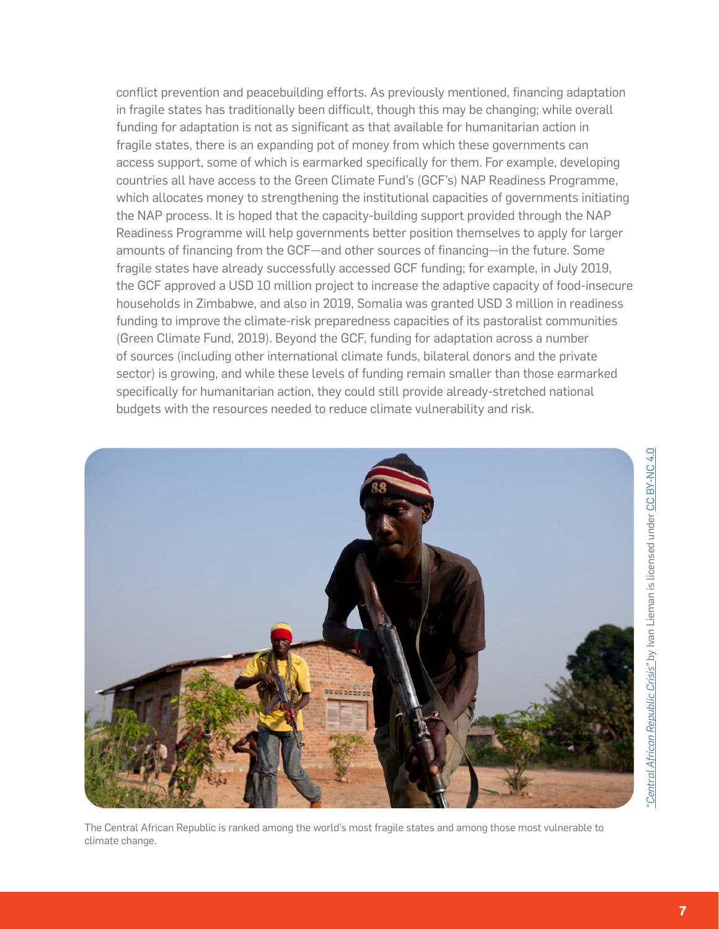conflict prevention and peacebuilding efforts. As previously mentioned, financing adaptation in fragile states has traditionally been difficult, though this may be changing; while overall funding for adaptation is not as significant as that available for humanitarian action in fragile states, there is an expanding pot of money from which these governments can access support, some of which is earmarked specifically for them. For example, developing countries all have access to the Green Climate Fund's (GCF's) NAP Readiness Programme, which allocates money to strengthening the institutional capacities of governments initiating the NAP process. It is hoped that the capacity-building support provided through the NAP Readiness Programme will help governments better position themselves to apply for larger amounts of financing from the GCF—and other sources of financing—in the future. Some fragile states have already successfully accessed GCF funding; for example, in July 2019, the GCF approved a USD 10 million project to increase the adaptive capacity of food-insecure households in Zimbabwe, and also in 2019, Somalia was granted USD 3 million in readiness funding to improve the climate-risk preparedness capacities of its pastoralist communities (Green Climate Fund, 2019). Beyond the GCF, funding for adaptation across a number of sources (including other international climate funds, bilateral donors and the private sector) is growing, and while these levels of funding remain smaller than those earmarked specifically for humanitarian action, they could still provide already-stretched national budgets with the resources needed to reduce climate vulnerability and risk.



The Central African Republic is ranked among the world's most fragile states and among those most vulnerable to climate change.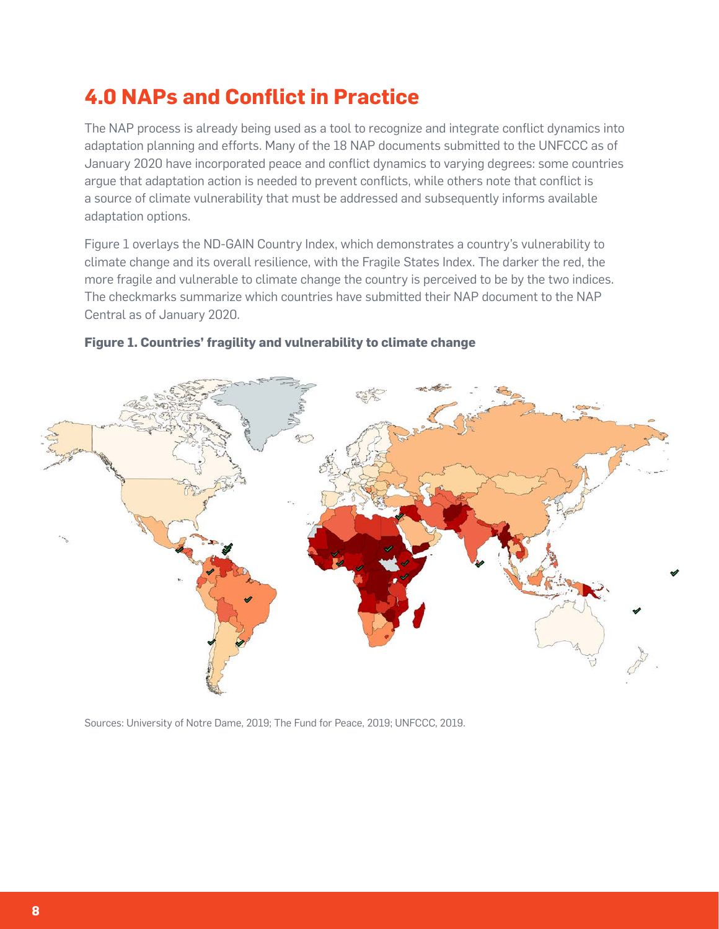## **4.0 NAPs and Conflict in Practice**

The NAP process is already being used as a tool to recognize and integrate conflict dynamics into adaptation planning and efforts. Many of the 18 NAP documents submitted to the UNFCCC as of January 2020 have incorporated peace and conflict dynamics to varying degrees: some countries argue that adaptation action is needed to prevent conflicts, while others note that conflict is a source of climate vulnerability that must be addressed and subsequently informs available adaptation options.

Figure 1 overlays the ND-GAIN Country Index, which demonstrates a country's vulnerability to climate change and its overall resilience, with the Fragile States Index. The darker the red, the more fragile and vulnerable to climate change the country is perceived to be by the two indices. The checkmarks summarize which countries have submitted their NAP document to the NAP Central as of January 2020.



#### **Figure 1. Countries' fragility and vulnerability to climate change**

Sources: University of Notre Dame, 2019; The Fund for Peace, 2019; UNFCCC, 2019.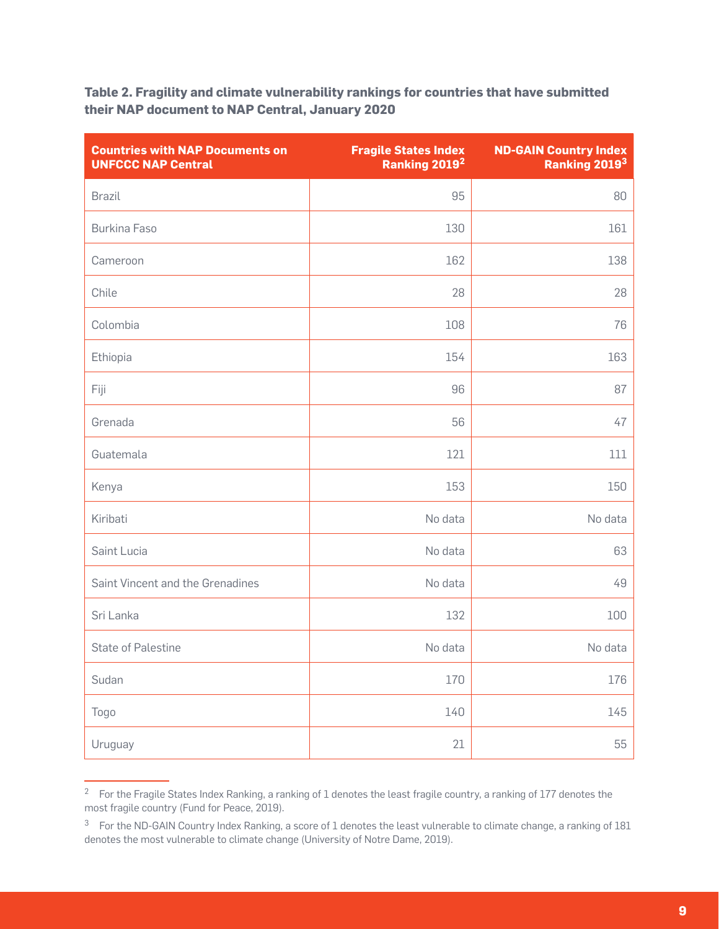**Table 2. Fragility and climate vulnerability rankings for countries that have submitted their NAP document to NAP Central, January 2020**

| <b>Countries with NAP Documents on</b><br><b>UNFCCC NAP Central</b> | <b>Fragile States Index</b><br>Ranking 2019 <sup>2</sup> | <b>ND-GAIN Country Index</b><br>Ranking 2019 <sup>3</sup> |
|---------------------------------------------------------------------|----------------------------------------------------------|-----------------------------------------------------------|
| <b>Brazil</b>                                                       | 95                                                       | 80                                                        |
| Burkina Faso                                                        | 130                                                      | 161                                                       |
| Cameroon                                                            | 162                                                      | 138                                                       |
| Chile                                                               | 28                                                       | 28                                                        |
| Colombia                                                            | 108                                                      | 76                                                        |
| Ethiopia                                                            | 154                                                      | 163                                                       |
| Fiji                                                                | 96                                                       | 87                                                        |
| Grenada                                                             | 56                                                       | 47                                                        |
| Guatemala                                                           | 121                                                      | 111                                                       |
| Kenya                                                               | 153                                                      | 150                                                       |
| Kiribati                                                            | No data                                                  | No data                                                   |
| Saint Lucia                                                         | No data                                                  | 63                                                        |
| Saint Vincent and the Grenadines                                    | No data                                                  | 49                                                        |
| Sri Lanka                                                           | 132                                                      | 100                                                       |
| <b>State of Palestine</b>                                           | No data                                                  | No data                                                   |
| Sudan                                                               | 170                                                      | 176                                                       |
| Togo                                                                | 140                                                      | 145                                                       |
| Uruguay                                                             | 21                                                       | 55                                                        |

<sup>&</sup>lt;sup>2</sup> For the Fragile States Index Ranking, a ranking of 1 denotes the least fragile country, a ranking of 177 denotes the most fragile country (Fund for Peace, 2019).

 $3$  For the ND-GAIN Country Index Ranking, a score of 1 denotes the least vulnerable to climate change, a ranking of 181 denotes the most vulnerable to climate change (University of Notre Dame, 2019).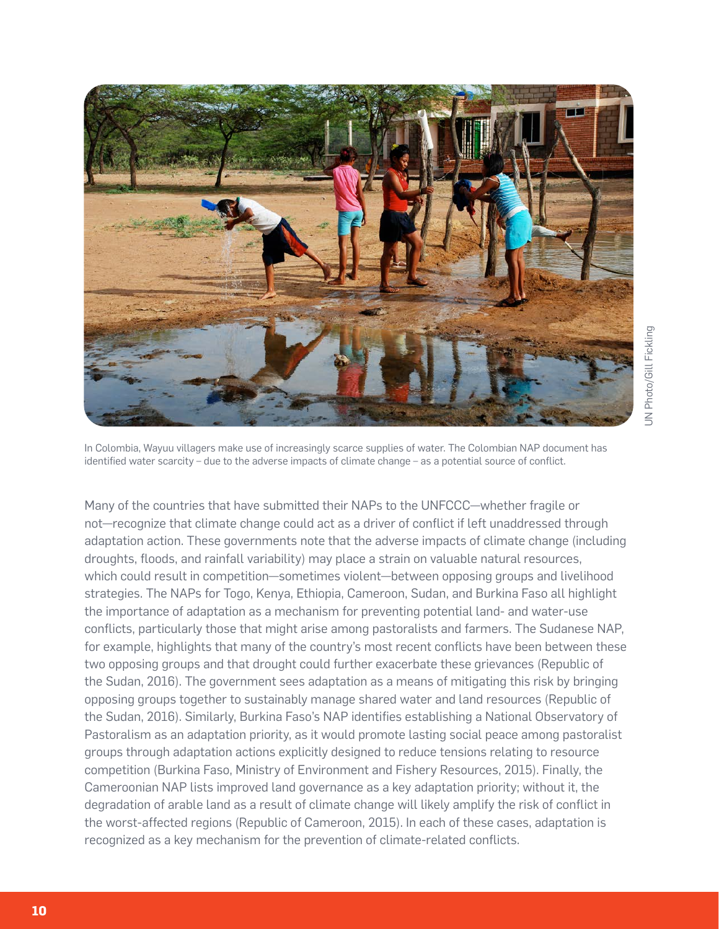

In Colombia, Wayuu villagers make use of increasingly scarce supplies of water. The Colombian NAP document has identified water scarcity – due to the adverse impacts of climate change – as a potential source of conflict.

Many of the countries that have submitted their NAPs to the UNFCCC—whether fragile or not—recognize that climate change could act as a driver of conflict if left unaddressed through adaptation action. These governments note that the adverse impacts of climate change (including droughts, floods, and rainfall variability) may place a strain on valuable natural resources, which could result in competition—sometimes violent—between opposing groups and livelihood strategies. The NAPs for Togo, Kenya, Ethiopia, Cameroon, Sudan, and Burkina Faso all highlight the importance of adaptation as a mechanism for preventing potential land- and water-use conflicts, particularly those that might arise among pastoralists and farmers. The Sudanese NAP, for example, highlights that many of the country's most recent conflicts have been between these two opposing groups and that drought could further exacerbate these grievances (Republic of the Sudan, 2016). The government sees adaptation as a means of mitigating this risk by bringing opposing groups together to sustainably manage shared water and land resources (Republic of the Sudan, 2016). Similarly, Burkina Faso's NAP identifies establishing a National Observatory of Pastoralism as an adaptation priority, as it would promote lasting social peace among pastoralist groups through adaptation actions explicitly designed to reduce tensions relating to resource competition (Burkina Faso, Ministry of Environment and Fishery Resources, 2015). Finally, the Cameroonian NAP lists improved land governance as a key adaptation priority; without it, the degradation of arable land as a result of climate change will likely amplify the risk of conflict in the worst-affected regions (Republic of Cameroon, 2015). In each of these cases, adaptation is recognized as a key mechanism for the prevention of climate-related conflicts.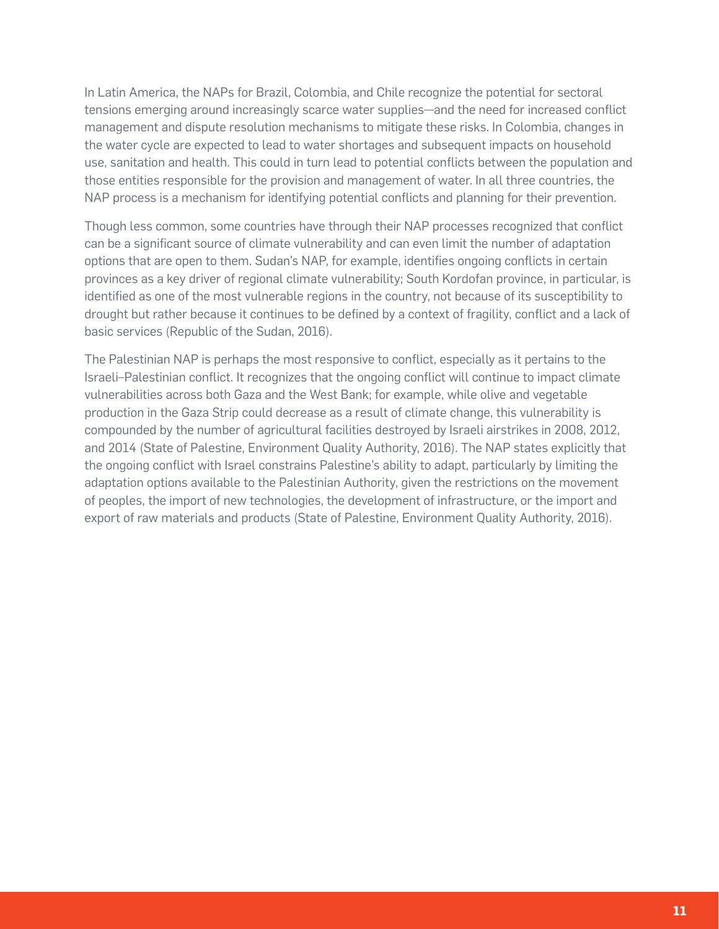In Latin America, the NAPs for Brazil, Colombia, and Chile recognize the potential for sectoral tensions emerging around increasingly scarce water supplies—and the need for increased conflict management and dispute resolution mechanisms to mitigate these risks. In Colombia, changes in the water cycle are expected to lead to water shortages and subsequent impacts on household use, sanitation and health. This could in turn lead to potential conflicts between the population and those entities responsible for the provision and management of water. In all three countries, the NAP process is a mechanism for identifying potential conflicts and planning for their prevention.

Though less common, some countries have through their NAP processes recognized that conflict can be a significant source of climate vulnerability and can even limit the number of adaptation options that are open to them. Sudan's NAP, for example, identifies ongoing conflicts in certain provinces as a key driver of regional climate vulnerability; South Kordofan province, in particular, is identified as one of the most vulnerable regions in the country, not because of its susceptibility to drought but rather because it continues to be defined by a context of fragility, conflict and a lack of basic services (Republic of the Sudan, 2016).

The Palestinian NAP is perhaps the most responsive to conflict, especially as it pertains to the Israeli–Palestinian conflict. It recognizes that the ongoing conflict will continue to impact climate vulnerabilities across both Gaza and the West Bank; for example, while olive and vegetable production in the Gaza Strip could decrease as a result of climate change, this vulnerability is compounded by the number of agricultural facilities destroyed by Israeli airstrikes in 2008, 2012, and 2014 (State of Palestine, Environment Quality Authority, 2016). The NAP states explicitly that the ongoing conflict with Israel constrains Palestine's ability to adapt, particularly by limiting the adaptation options available to the Palestinian Authority, given the restrictions on the movement of peoples, the import of new technologies, the development of infrastructure, or the import and export of raw materials and products (State of Palestine, Environment Quality Authority, 2016).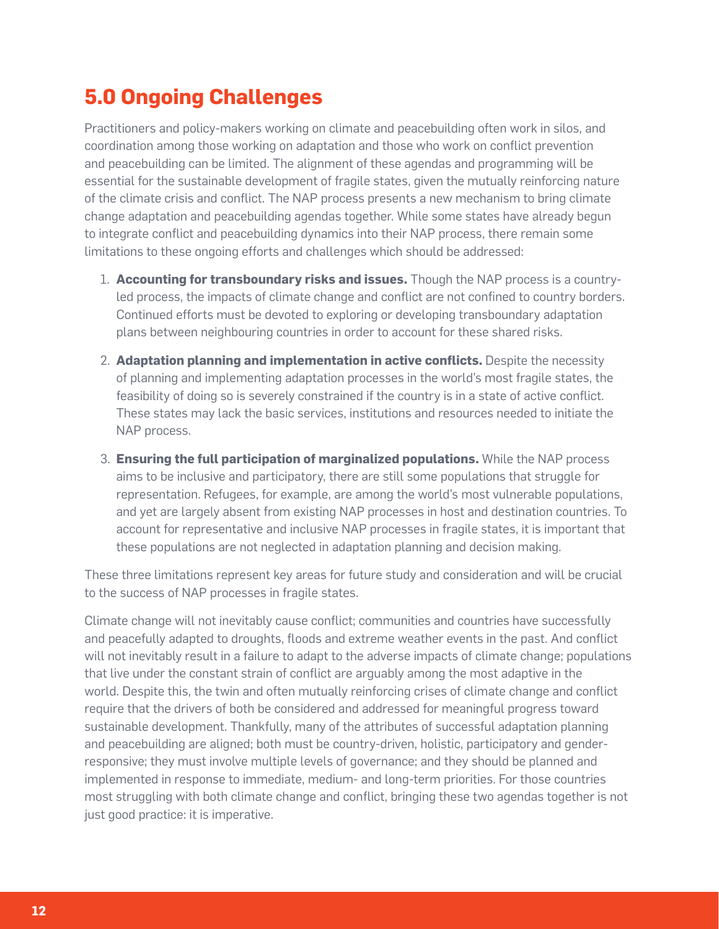# **5.0 Ongoing Challenges**

Practitioners and policy-makers working on climate and peacebuilding often work in silos, and coordination among those working on adaptation and those who work on conflict prevention and peacebuilding can be limited. The alignment of these agendas and programming will be essential for the sustainable development of fragile states, given the mutually reinforcing nature of the climate crisis and conflict. The NAP process presents a new mechanism to bring climate change adaptation and peacebuilding agendas together. While some states have already begun to integrate conflict and peacebuilding dynamics into their NAP process, there remain some limitations to these ongoing efforts and challenges which should be addressed:

- 1. **Accounting for transboundary risks and issues.** Though the NAP process is a countryled process, the impacts of climate change and conflict are not confined to country borders. Continued efforts must be devoted to exploring or developing transboundary adaptation plans between neighbouring countries in order to account for these shared risks.
- 2. **Adaptation planning and implementation in active conflicts.** Despite the necessity of planning and implementing adaptation processes in the world's most fragile states, the feasibility of doing so is severely constrained if the country is in a state of active conflict. These states may lack the basic services, institutions and resources needed to initiate the NAP process.
- 3. **Ensuring the full participation of marginalized populations.** While the NAP process aims to be inclusive and participatory, there are still some populations that struggle for representation. Refugees, for example, are among the world's most vulnerable populations, and yet are largely absent from existing NAP processes in host and destination countries. To account for representative and inclusive NAP processes in fragile states, it is important that these populations are not neglected in adaptation planning and decision making.

These three limitations represent key areas for future study and consideration and will be crucial to the success of NAP processes in fragile states.

Climate change will not inevitably cause conflict; communities and countries have successfully and peacefully adapted to droughts, floods and extreme weather events in the past. And conflict will not inevitably result in a failure to adapt to the adverse impacts of climate change; populations that live under the constant strain of conflict are arguably among the most adaptive in the world. Despite this, the twin and often mutually reinforcing crises of climate change and conflict require that the drivers of both be considered and addressed for meaningful progress toward sustainable development. Thankfully, many of the attributes of successful adaptation planning and peacebuilding are aligned; both must be country-driven, holistic, participatory and genderresponsive; they must involve multiple levels of governance; and they should be planned and implemented in response to immediate, medium- and long-term priorities. For those countries most struggling with both climate change and conflict, bringing these two agendas together is not just good practice: it is imperative.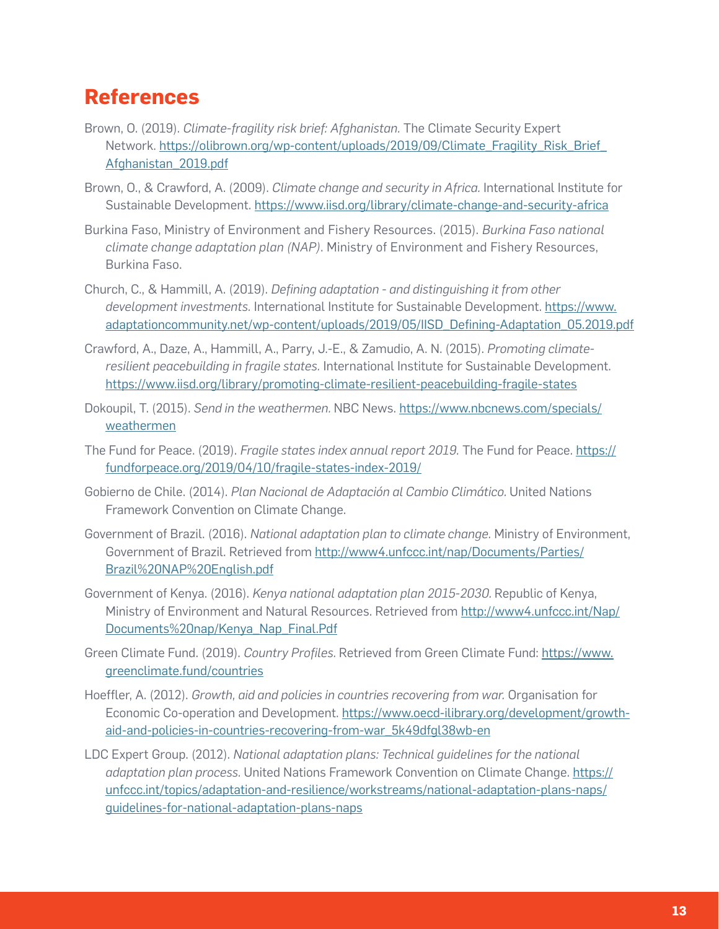#### **References**

- Brown, O. (2019). *Climate-fragility risk brief: Afghanistan.* The Climate Security Expert Network. [https://olibrown.org/wp-content/uploads/2019/09/Climate\\_Fragility\\_Risk\\_Brief\\_](https://olibrown.org/wp-content/uploads/2019/09/Climate_Fragility_Risk_Brief_Afghanistan_2019.pdf) [Afghanistan\\_2019.pdf](https://olibrown.org/wp-content/uploads/2019/09/Climate_Fragility_Risk_Brief_Afghanistan_2019.pdf)
- Brown, O., & Crawford, A. (2009). *Climate change and security in Africa.* International Institute for Sustainable Development. <https://www.iisd.org/library/climate-change-and-security-africa>
- Burkina Faso, Ministry of Environment and Fishery Resources. (2015). *Burkina Faso national climate change adaptation plan (NAP)*. Ministry of Environment and Fishery Resources, Burkina Faso.
- Church, C., & Hammill, A. (2019). *Defining adaptation and distinguishing it from other development investments.* International Institute for Sustainable Development. [https://www.](https://www.adaptationcommunity.net/wp-content/uploads/2019/05/IISD_Defining-Adaptation_05.2019.pdf) [adaptationcommunity.net/wp-content/uploads/2019/05/IISD\\_Defining-Adaptation\\_05.2019.pdf](https://www.adaptationcommunity.net/wp-content/uploads/2019/05/IISD_Defining-Adaptation_05.2019.pdf)
- Crawford, A., Daze, A., Hammill, A., Parry, J.-E., & Zamudio, A. N. (2015). *Promoting climateresilient peacebuilding in fragile states.* International Institute for Sustainable Development. <https://www.iisd.org/library/promoting-climate-resilient-peacebuilding-fragile-states>
- Dokoupil, T. (2015). *Send in the weathermen.* NBC News. [https://www.nbcnews.com/specials/](https://www.nbcnews.com/specials/weathermen) [weathermen](https://www.nbcnews.com/specials/weathermen)
- The Fund for Peace. (2019). *Fragile states index annual report 2019.* The Fund for Peace. [https://](https://fundforpeace.org/2019/04/10/fragile-states-index-2019/) [fundforpeace.org/2019/04/10/fragile-states-index-2019/](https://fundforpeace.org/2019/04/10/fragile-states-index-2019/)
- Gobierno de Chile. (2014). *Plan Nacional de Adaptación al Cambio Climático.* United Nations Framework Convention on Climate Change.
- Government of Brazil. (2016). *National adaptation plan to climate change.* Ministry of Environment, Government of Brazil. Retrieved from [http://www4.unfccc.int/nap/Documents/Parties/](https://www4.unfccc.int/sites/napc/Pages/Home.aspx) [Brazil%20NAP%20English.pdf](https://www4.unfccc.int/sites/napc/Pages/Home.aspx)
- Government of Kenya. (2016). *Kenya national adaptation plan 2015-2030.* Republic of Kenya, Ministry of Environment and Natural Resources. Retrieved from [http://www4.unfccc.int/Nap/](http://www4.unfccc.int/Nap/Documents%20nap/Kenya_Nap_Final.Pdf) [Documents%20nap/Kenya\\_Nap\\_Final.Pdf](http://www4.unfccc.int/Nap/Documents%20nap/Kenya_Nap_Final.Pdf)
- Green Climate Fund. (2019). *Country Profiles.* Retrieved from Green Climate Fund: [https://www.](https://www.greenclimate.fund/countries) [greenclimate.fund/countries](https://www.greenclimate.fund/countries)
- Hoeffler, A. (2012). *Growth, aid and policies in countries recovering from war.* Organisation for Economic Co-operation and Development. [https://www.oecd-ilibrary.org/development/growth](https://www.oecd-ilibrary.org/development/growth-aid-and-policies-in-countries-recovering-from-war_5k49dfgl38wb-en)[aid-and-policies-in-countries-recovering-from-war\\_5k49dfgl38wb-en](https://www.oecd-ilibrary.org/development/growth-aid-and-policies-in-countries-recovering-from-war_5k49dfgl38wb-en)
- LDC Expert Group. (2012). *National adaptation plans: Technical guidelines for the national adaptation plan process.* United Nations Framework Convention on Climate Change. [https://](https://unfccc.int/topics/adaptation-and-resilience/workstreams/national-adaptation-plans-naps/guidelines-for-national-adaptation-plans-naps) [unfccc.int/topics/adaptation-and-resilience/workstreams/national-adaptation-plans-naps/](https://unfccc.int/topics/adaptation-and-resilience/workstreams/national-adaptation-plans-naps/guidelines-for-national-adaptation-plans-naps) [guidelines-for-national-adaptation-plans-naps](https://unfccc.int/topics/adaptation-and-resilience/workstreams/national-adaptation-plans-naps/guidelines-for-national-adaptation-plans-naps)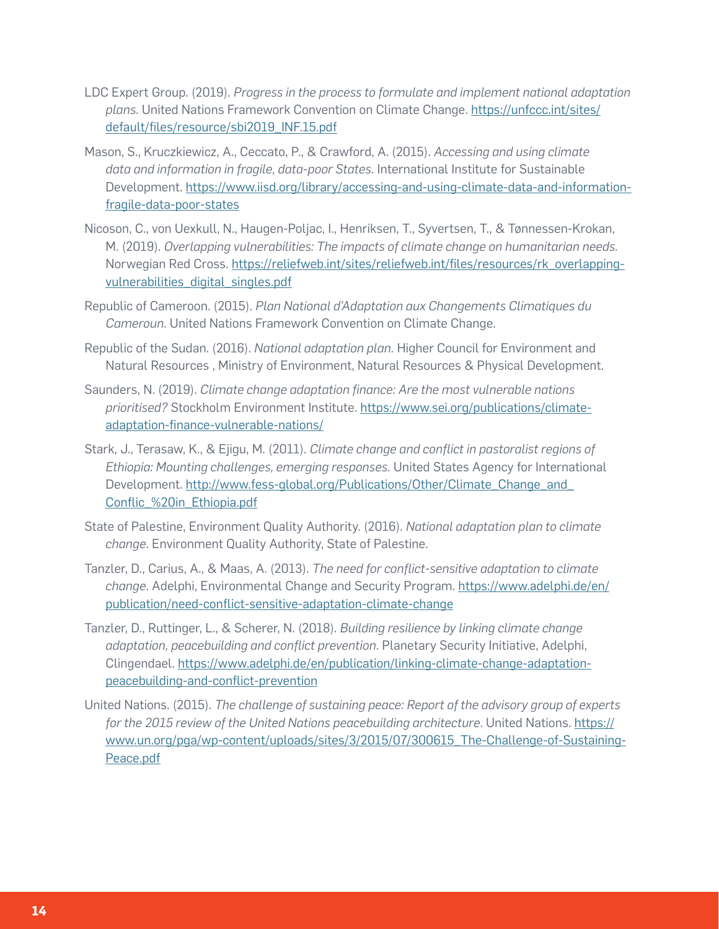- LDC Expert Group. (2019). *Progress in the process to formulate and implement national adaptation*  plans. United Nations Framework Convention on Climate Change. [https://unfccc.int/sites/](https://unfccc.int/sites/default/files/resource/sbi2019_INF.15.pdf) [default/files/resource/sbi2019\\_INF.15.pdf](https://unfccc.int/sites/default/files/resource/sbi2019_INF.15.pdf)
- Mason, S., Kruczkiewicz, A., Ceccato, P., & Crawford, A. (2015). *Accessing and using climate data and information in fragile, data-poor States.* International Institute for Sustainable Development. [https://www.iisd.org/library/accessing-and-using-climate-data-and-information](https://www.iisd.org/library/accessing-and-using-climate-data-and-information-fragile-data-poor-states)[fragile-data-poor-states](https://www.iisd.org/library/accessing-and-using-climate-data-and-information-fragile-data-poor-states)
- Nicoson, C., von Uexkull, N., Haugen-Poljac, I., Henriksen, T., Syvertsen, T., & Tønnessen-Krokan, M. (2019). *Overlapping vulnerabilities: The impacts of climate change on humanitarian needs.*  Norwegian Red Cross. [https://reliefweb.int/sites/reliefweb.int/files/resources/rk\\_overlapping](https://reliefweb.int/sites/reliefweb.int/files/resources/rk_overlapping-vulnerabilities_digital_singles.pdf)vulnerabilities digital singles.pdf
- Republic of Cameroon. (2015). *Plan National d'Adaptation aux Changements Climatiques du Cameroun.* United Nations Framework Convention on Climate Change.
- Republic of the Sudan. (2016). *National adaptation plan.* Higher Council for Environment and Natural Resources , Ministry of Environment, Natural Resources & Physical Development.
- Saunders, N. (2019). *Climate change adaptation finance: Are the most vulnerable nations prioritised?* Stockholm Environment Institute. [https://www.sei.org/publications/climate](https://www.sei.org/publications/climate-adaptation-finance-vulnerable-nations/)[adaptation-finance-vulnerable-nations/](https://www.sei.org/publications/climate-adaptation-finance-vulnerable-nations/)
- Stark, J., Terasaw, K., & Ejigu, M. (2011). *Climate change and conflict in pastoralist regions of Ethiopia: Mounting challenges, emerging responses.* United States Agency for International Development. [http://www.fess-global.org/Publications/Other/Climate\\_Change\\_and\\_](http://www.fess-global.org/Publications/Other/Climate_Change_and_Conflic_%20in_Ethiopia.pdf) [Conflic\\_%20in\\_Ethiopia.pdf](http://www.fess-global.org/Publications/Other/Climate_Change_and_Conflic_%20in_Ethiopia.pdf)
- State of Palestine, Environment Quality Authority. (2016). *National adaptation plan to climate change*. Environment Quality Authority, State of Palestine.
- Tanzler, D., Carius, A., & Maas, A. (2013). *The need for conflict-sensitive adaptation to climate change*. Adelphi, Environmental Change and Security Program. [https://www.adelphi.de/en/](https://www.adelphi.de/en/publication/need-conflict-sensitive-adaptation-climate-change) [publication/need-conflict-sensitive-adaptation-climate-change](https://www.adelphi.de/en/publication/need-conflict-sensitive-adaptation-climate-change)
- Tanzler, D., Ruttinger, L., & Scherer, N. (2018). *Building resilience by linking climate change adaptation, peacebuilding and conflict prevention.* Planetary Security Initiative, Adelphi, Clingendael. [https://www.adelphi.de/en/publication/linking-climate-change-adaptation](https://www.adelphi.de/en/publication/linking-climate-change-adaptation-peacebuilding-and-conflict-prevention)[peacebuilding-and-conflict-prevention](https://www.adelphi.de/en/publication/linking-climate-change-adaptation-peacebuilding-and-conflict-prevention)
- United Nations. (2015). *The challenge of sustaining peace: Report of the advisory group of experts for the 2015 review of the United Nations peacebuilding architecture*. United Nations. [https://](https://www.un.org/pga/wp-content/uploads/sites/3/2015/07/300615_The-Challenge-of-Sustaining-Peace.pdf) [www.un.org/pga/wp-content/uploads/sites/3/2015/07/300615\\_The-Challenge-of-Sustaining-](https://www.un.org/pga/wp-content/uploads/sites/3/2015/07/300615_The-Challenge-of-Sustaining-Peace.pdf)[Peace.pdf](https://www.un.org/pga/wp-content/uploads/sites/3/2015/07/300615_The-Challenge-of-Sustaining-Peace.pdf)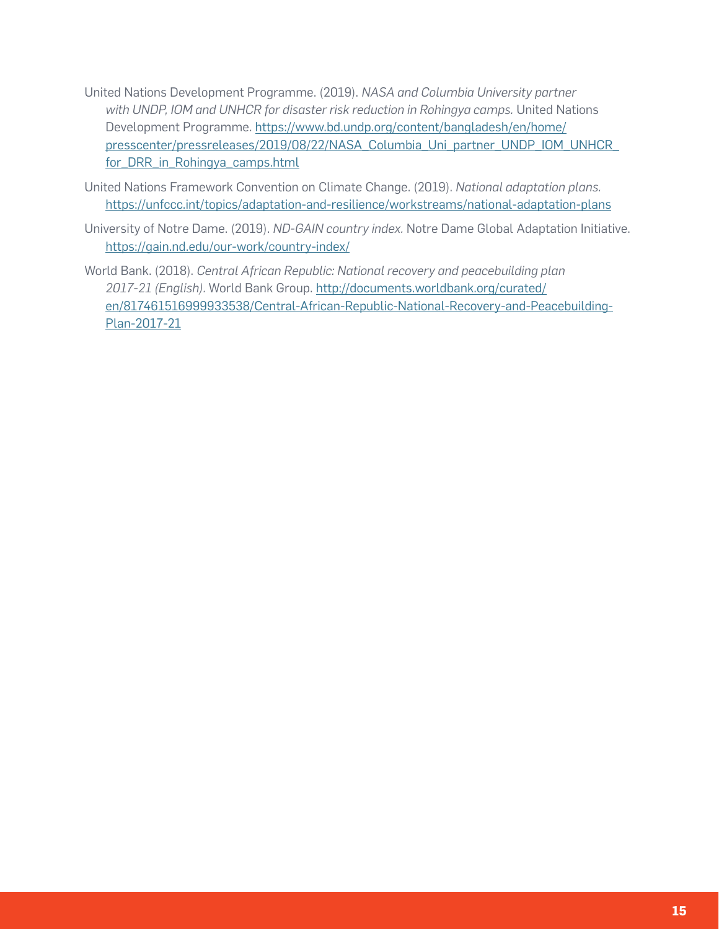- United Nations Development Programme. (2019). *NASA and Columbia University partner with UNDP, IOM and UNHCR for disaster risk reduction in Rohingya camps.* United Nations Development Programme. [https://www.bd.undp.org/content/bangladesh/en/home/](https://www.bd.undp.org/content/bangladesh/en/home/presscenter/pressreleases/2019/08/22/NASA_Columbia_Uni_partner_UNDP_IOM_UNHCR_for_DRR_in_Rohingya_camps.html) [presscenter/pressreleases/2019/08/22/NASA\\_Columbia\\_Uni\\_partner\\_UNDP\\_IOM\\_UNHCR\\_](https://www.bd.undp.org/content/bangladesh/en/home/presscenter/pressreleases/2019/08/22/NASA_Columbia_Uni_partner_UNDP_IOM_UNHCR_for_DRR_in_Rohingya_camps.html) for DRR in Rohingya camps.html
- United Nations Framework Convention on Climate Change. (2019). *National adaptation plans.* <https://unfccc.int/topics/adaptation-and-resilience/workstreams/national-adaptation-plans>
- University of Notre Dame. (2019). *ND-GAIN country index.* Notre Dame Global Adaptation Initiative. <https://gain.nd.edu/our-work/country-index/>
- World Bank. (2018). *Central African Republic: National recovery and peacebuilding plan 2017-21 (English).* World Bank Group. [http://documents.worldbank.org/curated/](http://documents.worldbank.org/curated/en/817461516999933538/Central-African-Republic-National-Recovery-and-Peacebuilding-Plan-2017-21) [en/817461516999933538/Central-African-Republic-National-Recovery-and-Peacebuilding-](http://documents.worldbank.org/curated/en/817461516999933538/Central-African-Republic-National-Recovery-and-Peacebuilding-Plan-2017-21)[Plan-2017-21](http://documents.worldbank.org/curated/en/817461516999933538/Central-African-Republic-National-Recovery-and-Peacebuilding-Plan-2017-21)